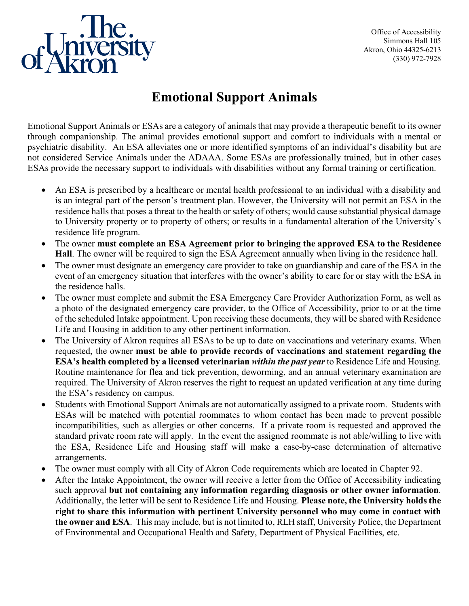

Office of Accessibility Simmons Hall 105 Akron, Ohio 44325-6213 (330) 972-7928

# **Emotional Support Animals**

Emotional Support Animals or ESAs are a category of animals that may provide a therapeutic benefit to its owner through companionship. The animal provides emotional support and comfort to individuals with a mental or psychiatric disability. An ESA alleviates one or more identified symptoms of an individual's disability but are not considered Service Animals under the ADAAA. Some ESAs are professionally trained, but in other cases ESAs provide the necessary support to individuals with disabilities without any formal training or certification.

- An ESA is prescribed by a healthcare or mental health professional to an individual with a disability and is an integral part of the person's treatment plan. However, the University will not permit an ESA in the residence halls that poses a threat to the health or safety of others; would cause substantial physical damage to University property or to property of others; or results in a fundamental alteration of the University's residence life program.
- The owner **must complete an ESA Agreement prior to bringing the approved ESA to the Residence Hall**. The owner will be required to sign the ESA Agreement annually when living in the residence hall.
- The owner must designate an emergency care provider to take on guardianship and care of the ESA in the event of an emergency situation that interferes with the owner's ability to care for or stay with the ESA in the residence halls.
- The owner must complete and submit the ESA Emergency Care Provider Authorization Form, as well as a photo of the designated emergency care provider, to the Office of Accessibility, prior to or at the time of the scheduled Intake appointment. Upon receiving these documents, they will be shared with Residence Life and Housing in addition to any other pertinent information.
- The University of Akron requires all ESAs to be up to date on vaccinations and veterinary exams. When requested, the owner **must be able to provide records of vaccinations and statement regarding the ESA's health completed by a licensed veterinarian** *within the past year* to Residence Life and Housing. Routine maintenance for flea and tick prevention, deworming, and an annual veterinary examination are required. The University of Akron reserves the right to request an updated verification at any time during the ESA's residency on campus.
- Students with Emotional Support Animals are not automatically assigned to a private room. Students with ESAs will be matched with potential roommates to whom contact has been made to prevent possible incompatibilities, such as allergies or other concerns. If a private room is requested and approved the standard private room rate will apply. In the event the assigned roommate is not able/willing to live with the ESA, Residence Life and Housing staff will make a case-by-case determination of alternative arrangements.
- The owner must comply with all City of Akron Code requirements which are located in Chapter 92.
- After the Intake Appointment, the owner will receive a letter from the Office of Accessibility indicating such approval **but not containing any information regarding diagnosis or other owner information**. Additionally, the letter will be sent to Residence Life and Housing. **Please note, the University holds the right to share this information with pertinent University personnel who may come in contact with the owner and ESA**. This may include, but is not limited to, RLH staff, University Police, the Department of Environmental and Occupational Health and Safety, Department of Physical Facilities, etc.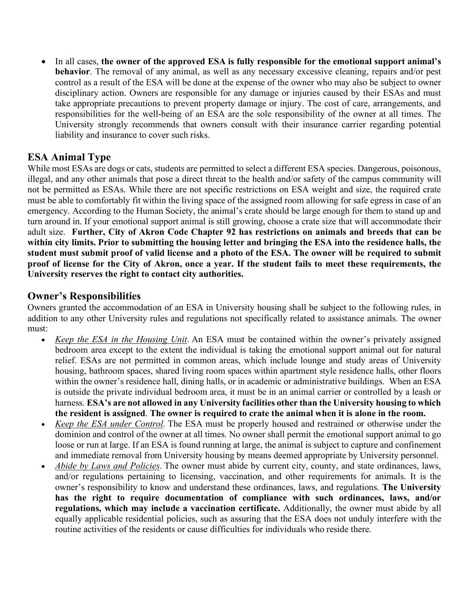• In all cases, **the owner of the approved ESA is fully responsible for the emotional support animal's behavior**. The removal of any animal, as well as any necessary excessive cleaning, repairs and/or pest control as a result of the ESA will be done at the expense of the owner who may also be subject to owner disciplinary action. Owners are responsible for any damage or injuries caused by their ESAs and must take appropriate precautions to prevent property damage or injury. The cost of care, arrangements, and responsibilities for the well-being of an ESA are the sole responsibility of the owner at all times. The University strongly recommends that owners consult with their insurance carrier regarding potential liability and insurance to cover such risks.

# **ESA Animal Type**

While most ESAs are dogs or cats, students are permitted to select a different ESA species. Dangerous, poisonous, illegal, and any other animals that pose a direct threat to the health and/or safety of the campus community will not be permitted as ESAs. While there are not specific restrictions on ESA weight and size, the required crate must be able to comfortably fit within the living space of the assigned room allowing for safe egress in case of an emergency. According to the Human Society, the animal's crate should be large enough for them to stand up and turn around in. If your emotional support animal is still growing, choose a crate size that will accommodate their adult size. **Further, City of Akron Code Chapter 92 has restrictions on animals and breeds that can be within city limits. Prior to submitting the housing letter and bringing the ESA into the residence halls, the student must submit proof of valid license and a photo of the ESA. The owner will be required to submit proof of license for the City of Akron, once a year. If the student fails to meet these requirements, the University reserves the right to contact city authorities.** 

# **Owner's Responsibilities**

Owners granted the accommodation of an ESA in University housing shall be subject to the following rules, in addition to any other University rules and regulations not specifically related to assistance animals. The owner must:

- *Keep the ESA in the Housing Unit*. An ESA must be contained within the owner's privately assigned bedroom area except to the extent the individual is taking the emotional support animal out for natural relief. ESAs are not permitted in common areas, which include lounge and study areas of University housing, bathroom spaces, shared living room spaces within apartment style residence halls, other floors within the owner's residence hall, dining halls, or in academic or administrative buildings. When an ESA is outside the private individual bedroom area, it must be in an animal carrier or controlled by a leash or harness. **ESA's are not allowed in any University facilities other than the University housing to which the resident is assigned**. **The owner is required to crate the animal when it is alone in the room.**
- *Keep the ESA under Control*. The ESA must be properly housed and restrained or otherwise under the dominion and control of the owner at all times. No owner shall permit the emotional support animal to go loose or run at large. If an ESA is found running at large, the animal is subject to capture and confinement and immediate removal from University housing by means deemed appropriate by University personnel.
- *Abide by Laws and Policies*. The owner must abide by current city, county, and state ordinances, laws, and/or regulations pertaining to licensing, vaccination, and other requirements for animals. It is the owner's responsibility to know and understand these ordinances, laws, and regulations. **The University has the right to require documentation of compliance with such ordinances, laws, and/or regulations, which may include a vaccination certificate.** Additionally, the owner must abide by all equally applicable residential policies, such as assuring that the ESA does not unduly interfere with the routine activities of the residents or cause difficulties for individuals who reside there.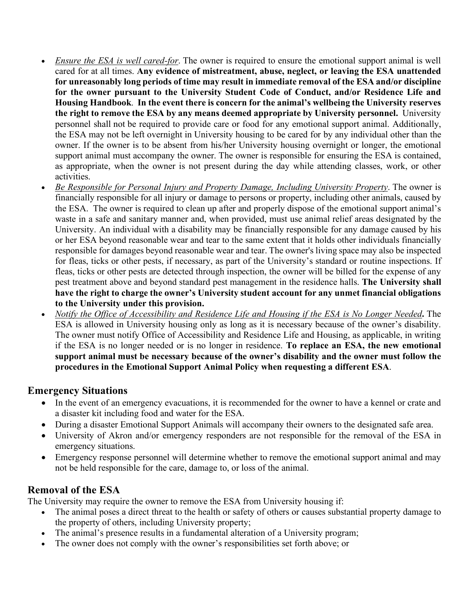- *Ensure the ESA is well cared-for*. The owner is required to ensure the emotional support animal is well cared for at all times. **Any evidence of mistreatment, abuse, neglect, or leaving the ESA unattended for unreasonably long periods of time may result in immediate removal of the ESA and/or discipline for the owner pursuant to the University Student Code of Conduct, and/or Residence Life and Housing Handbook**. **In the event there is concern for the animal's wellbeing the University reserves the right to remove the ESA by any means deemed appropriate by University personnel.** University personnel shall not be required to provide care or food for any emotional support animal. Additionally, the ESA may not be left overnight in University housing to be cared for by any individual other than the owner. If the owner is to be absent from his/her University housing overnight or longer, the emotional support animal must accompany the owner. The owner is responsible for ensuring the ESA is contained, as appropriate, when the owner is not present during the day while attending classes, work, or other activities.
- *Be Responsible for Personal Injury and Property Damage, Including University Property*. The owner is financially responsible for all injury or damage to persons or property, including other animals, caused by the ESA. The owner is required to clean up after and properly dispose of the emotional support animal's waste in a safe and sanitary manner and, when provided, must use animal relief areas designated by the University. An individual with a disability may be financially responsible for any damage caused by his or her ESA beyond reasonable wear and tear to the same extent that it holds other individuals financially responsible for damages beyond reasonable wear and tear. The owner's living space may also be inspected for fleas, ticks or other pests, if necessary, as part of the University's standard or routine inspections. If fleas, ticks or other pests are detected through inspection, the owner will be billed for the expense of any pest treatment above and beyond standard pest management in the residence halls. **The University shall have the right to charge the owner's University student account for any unmet financial obligations to the University under this provision.**
- *Notify the Office of Accessibility and Residence Life and Housing if the ESA is No Longer Needed***.** The ESA is allowed in University housing only as long as it is necessary because of the owner's disability. The owner must notify Office of Accessibility and Residence Life and Housing, as applicable, in writing if the ESA is no longer needed or is no longer in residence. **To replace an ESA, the new emotional support animal must be necessary because of the owner's disability and the owner must follow the procedures in the Emotional Support Animal Policy when requesting a different ESA**.

### **Emergency Situations**

- In the event of an emergency evacuations, it is recommended for the owner to have a kennel or crate and a disaster kit including food and water for the ESA.
- During a disaster Emotional Support Animals will accompany their owners to the designated safe area.
- University of Akron and/or emergency responders are not responsible for the removal of the ESA in emergency situations.
- Emergency response personnel will determine whether to remove the emotional support animal and may not be held responsible for the care, damage to, or loss of the animal.

### **Removal of the ESA**

The University may require the owner to remove the ESA from University housing if:

- The animal poses a direct threat to the health or safety of others or causes substantial property damage to the property of others, including University property;
- The animal's presence results in a fundamental alteration of a University program;
- The owner does not comply with the owner's responsibilities set forth above; or